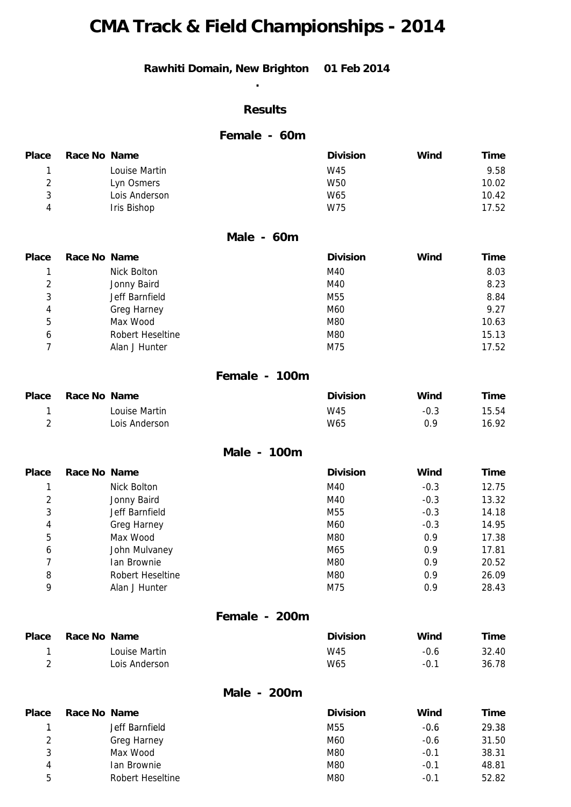# **CMA Track & Field Championships - 2014**

#### **Rawhiti Domain, New Brighton 01 Feb 2014**

**.** 

#### **Results**

#### **Female - 60m**

| <b>Place</b> | Race No Name |               | <b>Division</b> | Wind | <b>Time</b> |
|--------------|--------------|---------------|-----------------|------|-------------|
|              |              | Louise Martin | W45             |      | 9.58        |
|              |              | Lyn Osmers    | W <sub>50</sub> |      | 10.02       |
|              |              | Lois Anderson | W65             |      | 10.42       |
|              |              | Iris Bishop   | W75             |      | 17.52       |

#### **Male - 60m**

| <b>Place</b> | Race No Name |                  | <b>Division</b> | Wind | Time  |
|--------------|--------------|------------------|-----------------|------|-------|
|              |              | Nick Bolton      | M40             |      | 8.03  |
| 2            |              | Jonny Baird      | M40             |      | 8.23  |
| 3            |              | Jeff Barnfield   | M55             |      | 8.84  |
| 4            |              | Greg Harney      | M60             |      | 9.27  |
| 5            |              | Max Wood         | M80             |      | 10.63 |
| 6            |              | Robert Heseltine | M80             |      | 15.13 |
|              |              | Alan J Hunter    | M75             |      | 17.52 |

#### **Female - 100m**

| Place | Race No Name |               | <b>Division</b> | Wind   | Time  |
|-------|--------------|---------------|-----------------|--------|-------|
|       |              | Louise Martin | W45             | $-0.3$ | 15.54 |
|       |              | Lois Anderson | W65             | 0.9    | 16.92 |

**Male - 100m** 

| <b>Place</b> | Race No Name |                  | <b>Division</b> | Wind   | <b>Time</b> |
|--------------|--------------|------------------|-----------------|--------|-------------|
|              |              | Nick Bolton      | M40             | $-0.3$ | 12.75       |
| 2            |              | Jonny Baird      | M40             | $-0.3$ | 13.32       |
| 3            |              | Jeff Barnfield   | M55             | $-0.3$ | 14.18       |
| 4            |              | Greg Harney      | M60             | $-0.3$ | 14.95       |
| 5            |              | Max Wood         | M80             | 0.9    | 17.38       |
| 6            |              | John Mulvaney    | M65             | 0.9    | 17.81       |
|              |              | Ian Brownie      | M80             | 0.9    | 20.52       |
| 8            |              | Robert Heseltine | M80             | 0.9    | 26.09       |
| 9            |              | Alan J Hunter    | M75             | 0.9    | 28.43       |

#### **Female - 200m**

| <b>Place</b> | Race No Name |               | <b>Division</b> | Wind   | Time  |
|--------------|--------------|---------------|-----------------|--------|-------|
|              |              | Louise Martin | W45             | $-0.6$ | 32.40 |
|              |              | Lois Anderson | W65             | $-0.1$ | 36.78 |

#### **Male - 200m**

| Place | Race No Name |                    | <b>Division</b> | Wind   | Time  |
|-------|--------------|--------------------|-----------------|--------|-------|
|       |              | Jeff Barnfield     | M55             | $-0.6$ | 29.38 |
| 2     |              | <b>Greg Harney</b> | M60             | $-0.6$ | 31.50 |
| د     |              | Max Wood           | M80             | $-0.1$ | 38.31 |
| 4     |              | Ian Brownie        | M80             | $-0.1$ | 48.81 |
| 5     |              | Robert Heseltine   | M80             | $-0.1$ | 52.82 |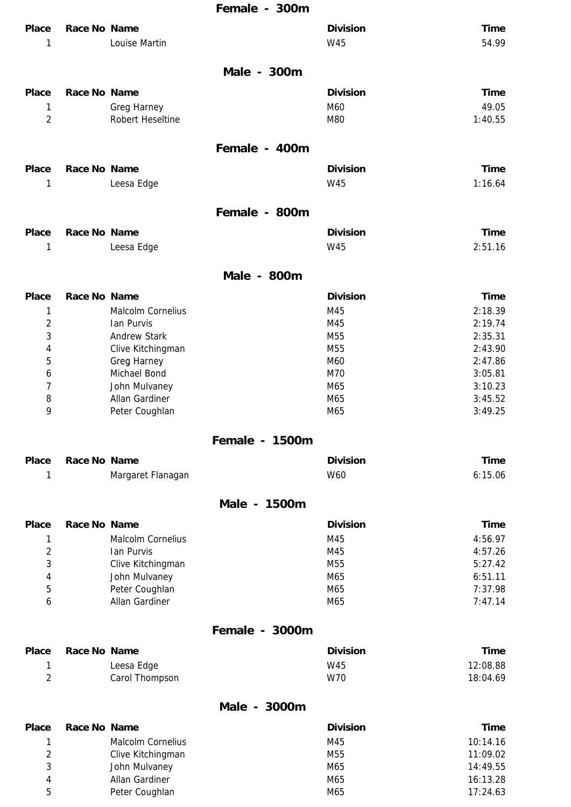## **Female - 300m**

| <b>Place</b><br>1 | <b>Race No Name</b> | Louise Martin               |                | <b>Division</b><br><b>W45</b> | <b>Time</b><br>54.99 |
|-------------------|---------------------|-----------------------------|----------------|-------------------------------|----------------------|
|                   |                     |                             | Male - 300m    |                               |                      |
| <b>Place</b>      | Race No Name        |                             |                | <b>Division</b>               | <b>Time</b>          |
| 1                 |                     | <b>Greg Harney</b>          |                | M60                           | 49.05                |
| $\overline{2}$    |                     | <b>Robert Heseltine</b>     |                | M80                           | 1:40.55              |
|                   |                     |                             | Female - 400m  |                               |                      |
| <b>Place</b>      | Race No Name        |                             |                | <b>Division</b>               | <b>Time</b>          |
| 1                 |                     | Leesa Edge                  |                | <b>W45</b>                    | 1:16.64              |
|                   |                     |                             | Female - 800m  |                               |                      |
| <b>Place</b>      | Race No Name        |                             |                | <b>Division</b>               | <b>Time</b>          |
| 1                 |                     | Leesa Edge                  |                | <b>W45</b>                    | 2:51.16              |
|                   |                     |                             | Male - 800m    |                               |                      |
| <b>Place</b>      | <b>Race No Name</b> |                             |                | <b>Division</b>               | <b>Time</b>          |
| 1                 |                     | <b>Malcolm Cornelius</b>    |                | M45                           | 2:18.39              |
| 2                 |                     | Ian Purvis                  |                | M45                           | 2:19.74              |
| 3                 |                     | <b>Andrew Stark</b>         |                | M55                           | 2:35.31              |
| 4                 |                     | Clive Kitchingman           |                | M55                           | 2:43.90              |
| 5                 |                     | Greg Harney<br>Michael Bond |                | M60<br>M70                    | 2:47.86<br>3:05.81   |
| 6<br>7            |                     | John Mulvaney               |                | M65                           | 3:10.23              |
| 8                 |                     | Allan Gardiner              |                | M65                           | 3:45.52              |
| 9                 |                     | Peter Coughlan              |                | M65                           | 3:49.25              |
|                   |                     |                             | Female - 1500m |                               |                      |
| <b>Place</b>      | Race No Name        |                             |                | <b>Division</b>               | <b>Time</b>          |
| 1                 |                     | Margaret Flanagan           |                | W60                           | 6:15.06              |
|                   |                     |                             | Male - 1500m   |                               |                      |
| <b>Place</b>      | Race No Name        |                             |                | <b>Division</b>               | <b>Time</b>          |
| 1                 |                     | Malcolm Cornelius           |                | M45                           | 4:56.97              |
| 2                 |                     | Ian Purvis                  |                | M45                           | 4:57.26              |
| 3                 |                     | Clive Kitchingman           |                | M <sub>55</sub>               | 5:27.42              |
| 4                 |                     | John Mulvaney               |                | M65                           | 6:51.11              |
| 5                 |                     | Peter Coughlan              |                | M65                           | 7:37.98              |
| 6                 |                     | Allan Gardiner              |                | M65                           | 7:47.14              |
|                   |                     |                             | Female - 3000m |                               |                      |
| <b>Place</b>      | Race No Name        |                             |                | <b>Division</b>               | <b>Time</b>          |
| 1                 |                     | Leesa Edge                  |                | W45                           | 12:08.88             |
| $\overline{c}$    |                     | Carol Thompson              |                | W70                           | 18:04.69             |
|                   |                     |                             | Male - 3000m   |                               |                      |
| <b>Place</b>      | Race No Name        |                             |                | <b>Division</b>               | <b>Time</b>          |
| 1                 |                     | Malcolm Cornelius           |                | M45                           | 10:14.16             |
| $\sqrt{2}$        |                     | Clive Kitchingman           |                | M55                           | 11:09.02             |
| 3                 |                     | John Mulvaney               |                | M65                           | 14:49.55             |

5 Peter Coughlan M65 M65 17:24.63

4 Allan Gardiner M65 M65 16:13.28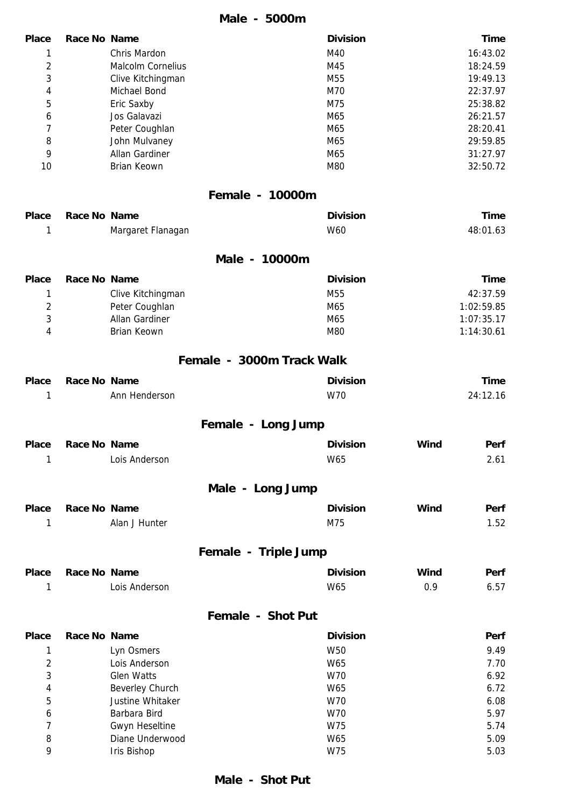|                |                     |                    | Male - 5000m              |             |
|----------------|---------------------|--------------------|---------------------------|-------------|
| <b>Place</b>   | Race No Name        |                    | <b>Division</b>           | <b>Time</b> |
| 1              |                     | Chris Mardon       | M40                       | 16:43.02    |
| $\overline{c}$ |                     | Malcolm Cornelius  | M45                       | 18:24.59    |
| 3              |                     | Clive Kitchingman  | M55                       | 19:49.13    |
| 4              |                     | Michael Bond       | M70                       | 22:37.97    |
| 5              |                     | Eric Saxby         | M75                       | 25:38.82    |
| 6              |                     | Jos Galavazi       | M65                       | 26:21.57    |
| 7              |                     | Peter Coughlan     | M65                       | 28:20.41    |
| 8              |                     | John Mulvaney      | M65                       | 29:59.85    |
| 9              |                     | Allan Gardiner     | M65                       | 31:27.97    |
| 10             |                     | <b>Brian Keown</b> | M80                       | 32:50.72    |
|                |                     |                    | Female - 10000m           |             |
| <b>Place</b>   | Race No Name        |                    | <b>Division</b>           | <b>Time</b> |
| 1              |                     | Margaret Flanagan  | W60                       | 48:01.63    |
|                |                     |                    | Male - 10000m             |             |
| <b>Place</b>   | Race No Name        |                    | <b>Division</b>           | <b>Time</b> |
| 1              |                     | Clive Kitchingman  | M <sub>55</sub>           | 42:37.59    |
| $\overline{2}$ |                     | Peter Coughlan     | M65                       | 1:02:59.85  |
| 3              |                     | Allan Gardiner     | M65                       | 1:07:35.17  |
| 4              |                     | <b>Brian Keown</b> | M80                       | 1:14:30.61  |
|                |                     |                    | Female - 3000m Track Walk |             |
| <b>Place</b>   | <b>Race No Name</b> |                    | <b>Division</b>           | <b>Time</b> |
| 1              |                     | Ann Henderson      | W70                       | 24:12.16    |
|                |                     |                    | Female - Long Jump        |             |
| <b>Place</b>   | Race No Name        |                    | <b>Division</b><br>Wind   | Perf        |
| 1              |                     | Lois Anderson      | W65                       | 2.61        |
|                |                     |                    | Male - Long Jump          |             |
| <b>Place</b>   | <b>Race No Name</b> |                    | Wind<br><b>Division</b>   | Perf        |
| 1              |                     | Alan J Hunter      | M75                       | 1.52        |
|                |                     |                    |                           |             |
|                |                     |                    | Female - Triple Jump      |             |
| <b>Place</b>   | Race No Name        |                    | Wind<br><b>Division</b>   | Perf        |
| 1              |                     | Lois Anderson      | W65<br>0.9                | 6.57        |
|                |                     |                    | Female - Shot Put         |             |
| <b>Place</b>   | Race No Name        |                    | <b>Division</b>           | Perf        |
| 1              |                     | Lyn Osmers         | W50                       | 9.49        |

|   | Lyn Osmers             | W50 | 9.49 |
|---|------------------------|-----|------|
|   | Lois Anderson          | W65 | 7.70 |
| 3 | <b>Glen Watts</b>      | W70 | 6.92 |
| 4 | <b>Beverley Church</b> | W65 | 6.72 |
| 5 | Justine Whitaker       | W70 | 6.08 |
| 6 | Barbara Bird           | W70 | 5.97 |
|   | <b>Gwyn Heseltine</b>  | W75 | 5.74 |
| 8 | Diane Underwood        | W65 | 5.09 |
| 9 | Iris Bishop            | W75 | 5.03 |
|   |                        |     |      |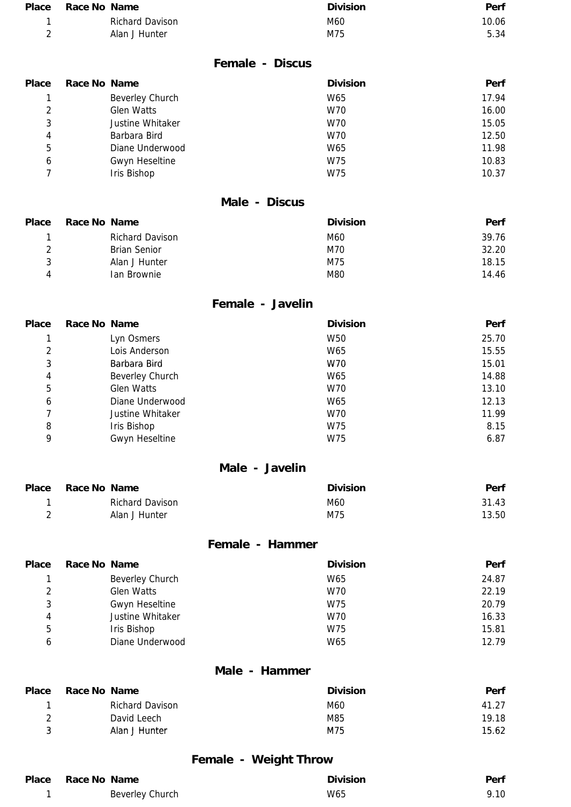| Place | Race No Name           | <b>Division</b> | Perf  |
|-------|------------------------|-----------------|-------|
|       | <b>Richard Davison</b> | M60             | 10.06 |
|       | Alan J Hunter          | M75             | 5.34  |

#### **Female - Discus**

| <b>Place</b> | Race No Name |                   | <b>Division</b> | Perf  |
|--------------|--------------|-------------------|-----------------|-------|
|              |              | Beverley Church   | W65             | 17.94 |
| 2            |              | <b>Glen Watts</b> | W70             | 16.00 |
| 3            |              | Justine Whitaker  | W70             | 15.05 |
| 4            |              | Barbara Bird      | W70             | 12.50 |
| 5            |              | Diane Underwood   | W65             | 11.98 |
| 6            |              | Gwyn Heseltine    | W75             | 10.83 |
|              |              | Iris Bishop       | W75             | 10.37 |
|              |              |                   |                 |       |

#### **Male - Discus**

|                        | <b>Division</b> | Perf  |
|------------------------|-----------------|-------|
| <b>Richard Davison</b> | M60             | 39.76 |
| <b>Brian Senior</b>    | M70             | 32.20 |
| Alan J Hunter          | M75             | 18.15 |
| Ian Brownie            | M80             | 14.46 |
|                        | Race No Name    |       |

# **Female - Javelin**

| Place          | Race No Name |                        | <b>Division</b> | <b>Perf</b> |
|----------------|--------------|------------------------|-----------------|-------------|
|                |              | Lyn Osmers             | W50             | 25.70       |
| $\mathfrak{D}$ |              | Lois Anderson          | W65             | 15.55       |
| 3              |              | Barbara Bird           | W70             | 15.01       |
| 4              |              | <b>Beverley Church</b> | W65             | 14.88       |
| 5              |              | <b>Glen Watts</b>      | W70             | 13.10       |
| 6              |              | Diane Underwood        | W65             | 12.13       |
|                |              | Justine Whitaker       | W70             | 11.99       |
| 8              |              | Iris Bishop            | W75             | 8.15        |
| 9              |              | <b>Gwyn Heseltine</b>  | W75             | 6.87        |

### **Male - Javelin**

| Place Race No Name |                        | <b>Division</b> | Perf  |
|--------------------|------------------------|-----------------|-------|
|                    | <b>Richard Davison</b> | M60             | 31.43 |
|                    | Alan J Hunter          | M75             | 13.50 |

## **Female - Hammer**

| <b>Place</b>  | Race No Name |                       | <b>Division</b> | Perf  |
|---------------|--------------|-----------------------|-----------------|-------|
|               |              | Beverley Church       | W65             | 24.87 |
| $\mathcal{P}$ |              | <b>Glen Watts</b>     | W70             | 22.19 |
| 3             |              | <b>Gwyn Heseltine</b> | W75             | 20.79 |
| 4             |              | Justine Whitaker      | W70             | 16.33 |
| 5             |              | Iris Bishop           | W75             | 15.81 |
| 6             |              | Diane Underwood       | W65             | 12.79 |

#### **Male - Hammer**

| <b>Place</b> | Race No Name    | <b>Division</b> | <b>Perf</b> |
|--------------|-----------------|-----------------|-------------|
|              | Richard Davison | M60             | 41.27       |
|              | David Leech     | M85             | 19.18       |
|              | Alan J Hunter   | M75             | 15.62       |

# **Female - Weight Throw**

| Place Race No Name | <b>Division</b> | Perf |
|--------------------|-----------------|------|
| Beverley Church    | W65             | 9.10 |